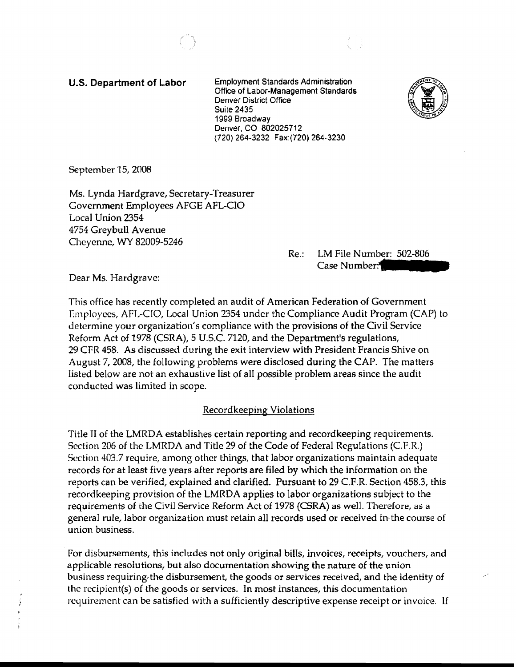u.s. **Department of Labor** Employment Standards Administration Office of Labor-Management Standards Denver District Office Suite 2435 1999 Broadway Denver, CO 802025712 (720) 264-3232 Fax:(720) 264·3230



September 15,2008

Ms. Lynda Hardgrave, Secretary-Treasurer Government Employees AFGE AFL-CIO Local Union 2354 4754 Greybull Avenue Cheyenne, WY 82009-5246

Re.: LM File Number: 502-806<br>Case Number:

Dear Ms. Hardgrave:

This office has recently completed an audit of American Federation of Government Employees, AfL-CIO, Local Union 2354 under the Compliance Audit Program (CAP) to determine your organization's compliance with the provisions of the Civil Service Reform Act of 1978 (CSRA), 5 U.s.c. 7120, and the Department's regulations, 29 CPR 458. As discussed during the exit interview with President Francis Shive on August 7, 2008, the following problems were disclosed during the CAP. The matters listed below are not an exhaustive list of all possible problem areas since the audit conducted was limited in scope.

#### Recordkeeping Violations

Title II of the LMRDA establishes certain reporting and recordkeeping requirements. Section 206 of the LMRDA and Title 29 of the Code of Federal Regulations (C.F.R) Section 403.7 require, among other things, that labor organizations maintain adequate records for at least five years after reports are filed by which the information on the reports can be verified, explained and clarified. Pursuant to 29 C.F.R. Section 458.3, this recordkeeping provision of the LMRDA applies to labor organizations subject to the requirements of the Civil Service Reform Act of 1978 (CSRA) as well. Therefore, as a general rule, labor organization must retain all records used or received in· the course of union business.

For disbursements, this includes not only original bills, invoices, receipts, vouchers, and applicable resolutions, but also documentation showing the nature of the union business requiring, the disbursement, the goods or services received, and the identity of the recipient(s) of the goods or services. In most instances, this documentation requirement can be satisfied with a sufficiently descriptive expense receipt or invoice. If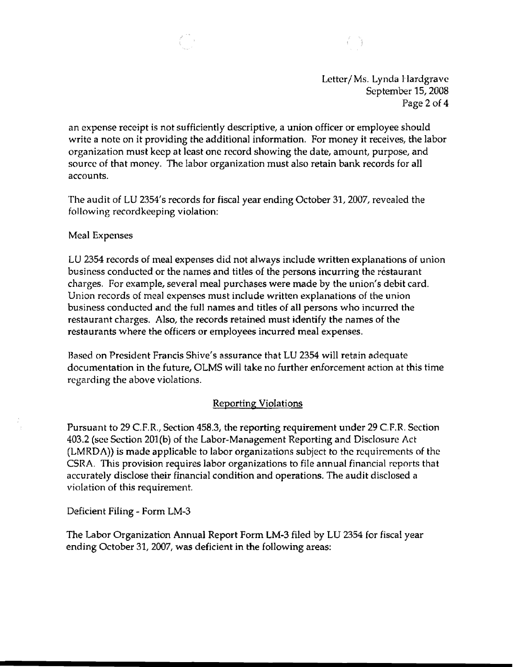

Letter/Ms. Lynda Hardgrave September 15,2008 Page 2 of 4

an expense receipt is not sufficiently descriptive, a union officer or employee should write a note on it providing the additional information. For money it receives, the labor organization must keep at least one record showing the date, amount, purpose, and source of that money. The labor organization must also retain bank records for all accounts.

The audit of LU 2354's records for fiscal year ending October 31, 2007, revealed the following recordkeeping violation:

## Meal Expenses

LU 2354 records of meal expenses did not always include written explanations of union business conducted or the names and titles of the persons incurring the restaurant charges. Por example, several *meal* purchases were made by the union's debit card. Union records of meal expenses must include written explanations of the union business conducted and the full names and titles of all persons who incurred the restaurant charges. Also, the records retained must identify the names of the restaurants where the officers or employees incurred meal expenses.

Based on President Prancis Shive's assurance that LU 2354 will retain adequate documentation in the future, OLMS will take no further enforcement action at this time regarding the above violations.

# Reporting Violations

Pursuant to 29 C.F.R., Section 458.3, the reporting requirement under 29 C.F.R. Section 403.2 (see Section 201(b) of the Labor-Management Reporting and Disclosure Act (LMRDA) is made applicable to labor organizations subject to the requirements of the CSRA. This provision requires labor organizations to file annual financial reports that accurately disclose their financial condition and operations. The audit disclosed a violation of this requirement.

Deficient Filing - Form LM-3

The Labor Organization Annual Report Form LM-3 filed by LU 2354 for fiscal year ending October 31, 2007, was deficient in the following areas: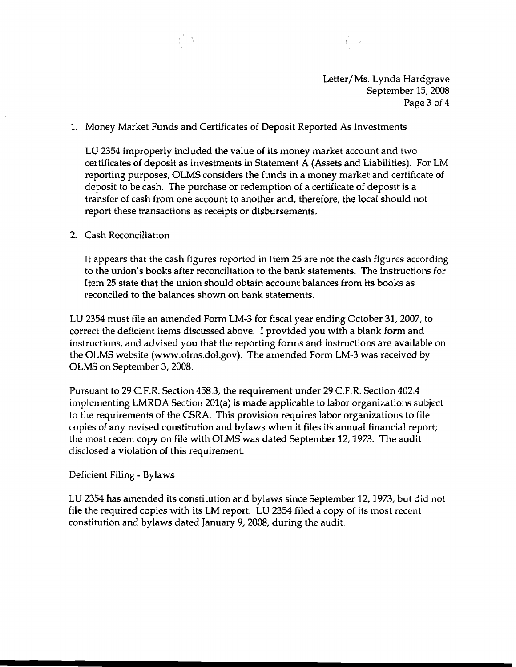

Page 3 of 4

## 1. Money Market Funds and Certificates of Deposit Reported As Investments

LU 2354 improperly included the value of its money market account and two certificates of deposit as investments in Statement A (Assets and Liabilities). For LM reporting purposes, OLMS considers the funds in a money market and certificate of deposit to be cash. The purchase or redemption of a certificate of deposit is a transfer of cash from one account to another and, therefore, the local should not report these transactions as receipts or disbursements.

#### 2. Cash Reconciliation

It appears that the cash figures reported in Item 25 are not the cash figures according to the union's books after reconciliation to the bank statements. The instructions for Item 25 state that the union should obtain account balances from its books as reconciled to the balances shown on bank statements.

LU 2354 must file an amended Fonn LM-3 for fiscal year ending October 31, 2007, to correct the deficient items discussed above. I provided you with a blank form and instructions, and advised you that the reporting forms and instructions are available on the OLMS website (www.olms.dol.gov). The amended Form LM-3 was received by OLMS on September 3,2008.

Pursuant to 29 c.P.R. Section 458.3, the requirement under 29 c.P.R. Section 402.4 implementing LMRDA Section 201(a) is made applicable to labor organizations subject to the requirements of the CSRA. This provision requires labor organizations to file copies of any revised constitution and bylaws when it files its annual financial report; the most recent copy on file with OLMS was dated September 12, 1973. The audit disclosed a violation of this requirement.

### Deficient Filing - Bylaws

LU 2354 has amended its constitution and bylaws since September 12,1973, but did not file the required copies with its LM report. LV 2354 filed a copy of its most recent constitution and bylaws dated January 9, 2008, during the audit.